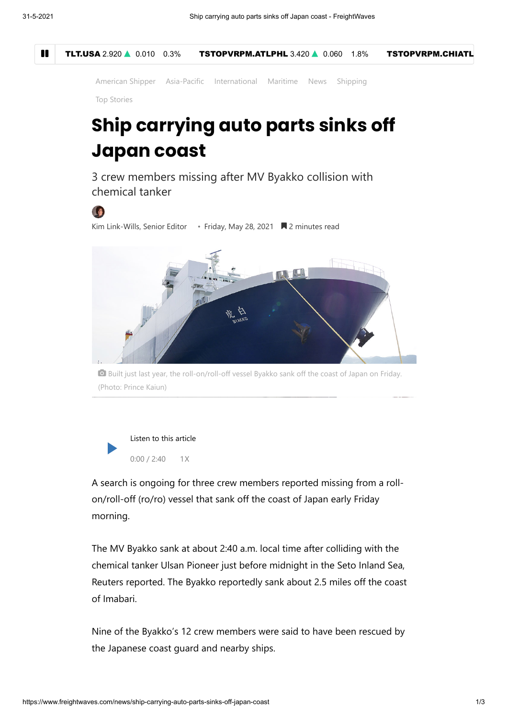

[American Shipper](https://www.freightwaves.com/news/american-shipper) [Asia-Pacific](https://www.freightwaves.com/markets/asia-pacific) [International](https://www.freightwaves.com/news/international) [Maritime](https://www.freightwaves.com/maritime) [News](https://www.freightwaves.com/news) [Shipping](https://www.freightwaves.com/news/american-shipper/shipping)

[Top Stories](https://www.freightwaves.com/news/category/news/editors-picks/top-stories)

## **Ship carrying auto parts sinks off Japan coast**

3 crew members missing after MV Byakko collision with chemical tanker

## O

[Kim Link-Wills, Senior Editor](https://www.freightwaves.com/news/author/klinkwills) • Friday, May 28, 2021 **N** 2 minutes read



 Built just last year, the roll-on/roll-off vessel Byakko sank off the coast of Japan on Friday. (Photo: Prince Kaiun)



A search is ongoing for three crew members reported missing from a rollon/roll-off (ro/ro) vessel that sank off the coast of Japan early Friday morning.

The MV Byakko sank at about 2:40 a.m. local time after colliding with the chemical tanker Ulsan Pioneer just before midnight in the Seto Inland Sea, Reuters reported. The Byakko reportedly sank about 2.5 miles off the coast of Imabari.

Nine of the Byakko's 12 crew members were said to have been rescued by the Japanese coast guard and nearby ships.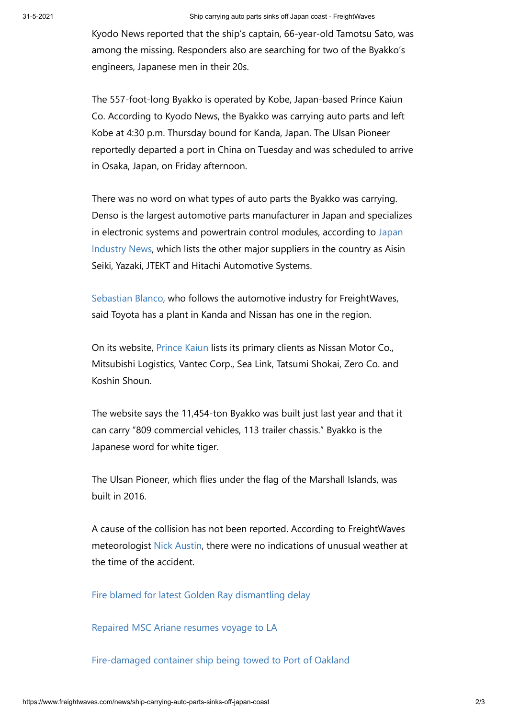Kyodo News reported that the ship's captain, 66-year-old Tamotsu Sato, was among the missing. Responders also are searching for two of the Byakko's engineers, Japanese men in their 20s.

The 557-foot-long Byakko is operated by Kobe, Japan-based Prince Kaiun Co. According to Kyodo News, the Byakko was carrying auto parts and left Kobe at 4:30 p.m. Thursday bound for Kanda, Japan. The Ulsan Pioneer reportedly departed a port in China on Tuesday and was scheduled to arrive in Osaka, Japan, on Friday afternoon.

There was no word on what types of auto parts the Byakko was carrying. Denso is the largest automotive parts manufacturer in Japan and specializes [in electronic systems and powertrain control modules, according to Japan](https://www.japanindustrynews.com/) Industry News, which lists the other major suppliers in the country as Aisin Seiki, Yazaki, JTEKT and Hitachi Automotive Systems.

[Sebastian Blanco](https://www.freightwaves.com/news/author/sblanco), who follows the automotive industry for FreightWaves, said Toyota has a plant in Kanda and Nissan has one in the region.

On its website, [Prince Kaiun](https://translate.google.com/translate?hl=en&sl=ja&u=http://prince-kaiun.co.jp/&prev=search&pto=aue) lists its primary clients as Nissan Motor Co., Mitsubishi Logistics, Vantec Corp., Sea Link, Tatsumi Shokai, Zero Co. and Koshin Shoun.

The website says the 11,454-ton Byakko was built just last year and that it can carry "809 commercial vehicles, 113 trailer chassis." Byakko is the Japanese word for white tiger.

The Ulsan Pioneer, which flies under the flag of the Marshall Islands, was built in 2016.

A cause of the collision has not been reported. According to FreightWaves meteorologist [Nick Austin,](https://www.freightwaves.com/news/author/nickaustin) there were no indications of unusual weather at the time of the accident.

[Fire blamed for latest Golden Ray dismantling delay](https://www.freightwaves.com/news/fire-blamed-for-latest-golden-ray-dismantling-delay)

[Repaired MSC Ariane resumes voyage to LA](https://www.freightwaves.com/news/repaired-msc-ariane-set-to-resume-voyage-to-la)

[Fire-damaged container ship being towed to Port of Oakland](https://www.freightwaves.com/news/fire-damaged-container-ship-being-towed-to-port-of-oakland)